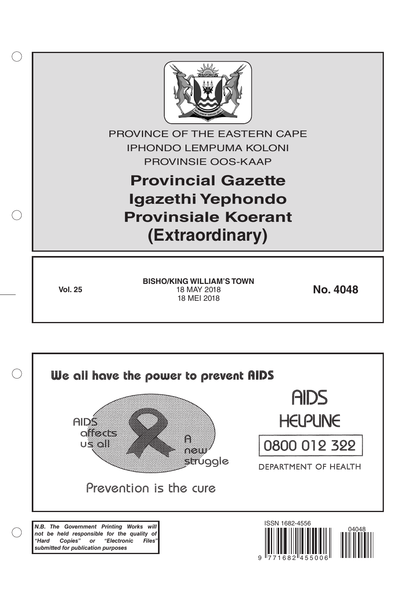

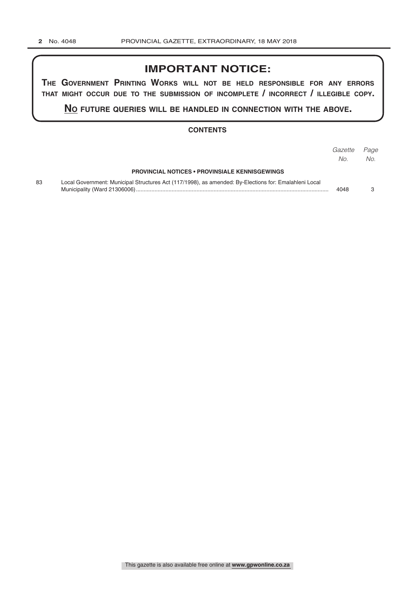# **IMPORTANT NOTICE:**

**The GovernmenT PrinTinG Works Will noT be held resPonsible for any errors ThaT miGhT occur due To The submission of incomPleTe / incorrecT / illeGible coPy.**

**no fuTure queries Will be handled in connecTion WiTh The above.**

### **CONTENTS**

|    |                                                                                                       | Gazette | Page |
|----|-------------------------------------------------------------------------------------------------------|---------|------|
|    |                                                                                                       | No.     | No.  |
|    | <b>PROVINCIAL NOTICES • PROVINSIALE KENNISGEWINGS</b>                                                 |         |      |
| 83 | Local Government: Municipal Structures Act (117/1998), as amended: By-Elections for: Emalahleni Local | 4048    |      |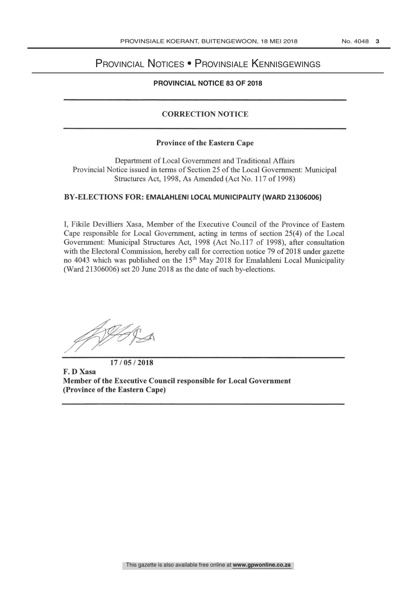## Provincial Notices • Provinsiale Kennisgewings

#### CONTENTS - INHOUD **PROVINCIAL NOTICE 83 OF 2018**

## CORRECTION NOTICE

## Province of the Eastern Cape

Department of Local Government and Traditional Affairs Provincial Notice issued in terms of Section 25 of the Local Government: Municipal Structures Act, 1998, As Amended (Act No. 117 of 1998)

## BY- ELECTIONS FOR: EMALAHLENI LOCAL MUNICIPALITY (WARD 21306006)

I, Fikile Devilliers Xasa, Member of the Executive Council of the Province of Eastern Cape responsible for Local Government, acting in terms of section 25(4) of the Local Government: Municipal Structures Act, 1998 (Act No.117 of 1998), after consultation with the Electoral Commission, hereby call for correction notice 79 of 2018 under gazette no 4043 which was published on the 15<sup>th</sup> May 2018 for Emalahleni Local Municipality (Ward 21306006) set 20 June 2018 as the date of such by-elections.

17/05/2018

F. D Xasa Member of the Executive Council responsible for Local Government (Province of the Eastern Cape)